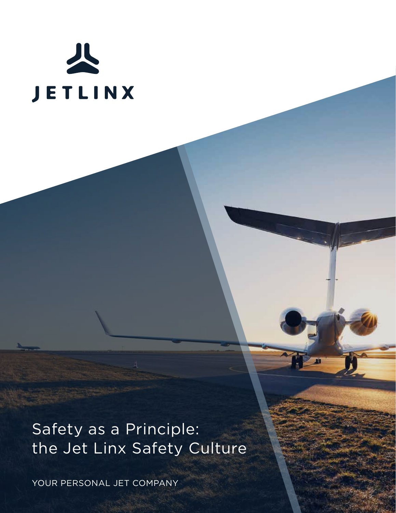

Safety as a Principle: the Jet Linx Safety Culture

YOUR PERSONAL JET COMPANY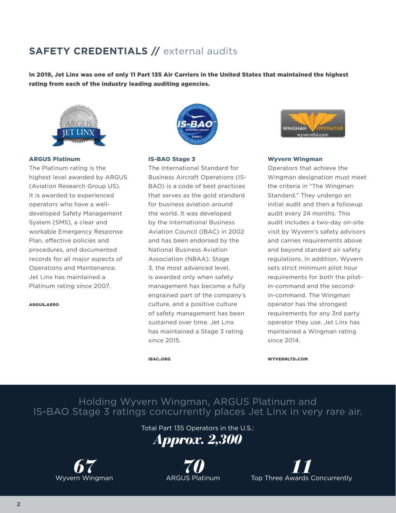# **SAFETY CREDENTIALS //** external audits

In 2019, Jet Linx was one of only 11 Part 135 Air Carriers in the United States that maintained the highest rating from each of the industry leading auditing agencies.



#### ARGUS Platinum

The Platinum rating is the highest level awarded by ARGUS (Aviation Research Group US). It is awarded to experienced operators who have a welldeveloped Safety Management System (SMS), a clear and workable Emergency Response Plan, effective policies and procedures, and documented records for all major aspects of Operations and Maintenance. Jet Linx has maintained a Platinum rating since 2007.

argus.aero



### IS-BAO Stage 3

The International Standard for Business Aircraft Operations (IS-BAO) is a code of best practices that serves as the gold standard for business aviation around the world. It was developed by the International Business Aviation Council (IBAC) in 2002 and has been endorsed by the National Business Aviation Association (NBAA). Stage 3, the most advanced level, is awarded only when safety management has become a fully engrained part of the company's culture, and a positive culture of safety management has been sustained over time. Jet Linx has maintained a Stage 3 rating since 2015.



### Wyvern Wingman

Operators that achieve the Wingman designation must meet the criteria in "The Wingman Standard." They undergo an initial audit and then a followup audit every 24 months. This audit includes a two-day on-site visit by Wyvern's safety advisors and carries requirements above and beyond standard air safety regulations. In addition, Wyvern sets strict minimum pilot hour requirements for both the pilotin-command and the secondin-command. The Wingman operator has the strongest requirements for any 3rd party operator they use. Jet Linx has maintained a Wingman rating since 2014.

ibac.org

WYVERNLTD.COM

Holding Wyvern Wingman, ARGUS Platinum and IS-BAO Stage 3 ratings concurrently places Jet Linx in very rare air.

Total Part 135 Operators in the U.S.:





*70* ARGUS Platinum

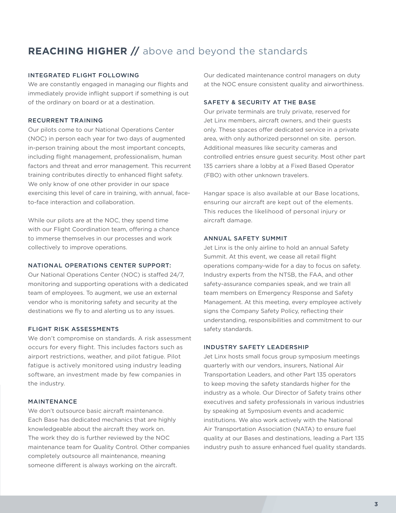# **REACHING HIGHER //** above and beyond the standards

## INTEGRATED FLIGHT FOLLOWING

We are constantly engaged in managing our flights and immediately provide inflight support if something is out of the ordinary on board or at a destination.

# RECURRENT TRAINING

Our pilots come to our National Operations Center (NOC) in person each year for two days of augmented in-person training about the most important concepts, including flight management, professionalism, human factors and threat and error management. This recurrent training contributes directly to enhanced flight safety. We only know of one other provider in our space exercising this level of care in training, with annual, faceto-face interaction and collaboration.

While our pilots are at the NOC, they spend time with our Flight Coordination team, offering a chance to immerse themselves in our processes and work collectively to improve operations.

## NATIONAL OPERATIONS CENTER SUPPORT:

Our National Operations Center (NOC) is staffed 24/7, monitoring and supporting operations with a dedicated team of employees. To augment, we use an external vendor who is monitoring safety and security at the destinations we fly to and alerting us to any issues.

# FLIGHT RISK ASSESSMENTS

We don't compromise on standards. A risk assessment occurs for every flight. This includes factors such as airport restrictions, weather, and pilot fatigue. Pilot fatigue is actively monitored using industry leading software, an investment made by few companies in the industry.

## MAINTENANCE

We don't outsource basic aircraft maintenance. Each Base has dedicated mechanics that are highly knowledgeable about the aircraft they work on. The work they do is further reviewed by the NOC maintenance team for Quality Control. Other companies completely outsource all maintenance, meaning someone different is always working on the aircraft.

Our dedicated maintenance control managers on duty at the NOC ensure consistent quality and airworthiness.

### SAFETY & SECURITY AT THE BASE

Our private terminals are truly private, reserved for Jet Linx members, aircraft owners, and their guests only. These spaces offer dedicated service in a private area, with only authorized personnel on site. person. Additional measures like security cameras and controlled entries ensure guest security. Most other part 135 carriers share a lobby at a Fixed Based Operator (FBO) with other unknown travelers.

Hangar space is also available at our Base locations, ensuring our aircraft are kept out of the elements. This reduces the likelihood of personal injury or aircraft damage.

## ANNUAL SAFETY SUMMIT

Jet Linx is the only airline to hold an annual Safety Summit. At this event, we cease all retail flight operations company-wide for a day to focus on safety. Industry experts from the NTSB, the FAA, and other safety-assurance companies speak, and we train all team members on Emergency Response and Safety Management. At this meeting, every employee actively signs the Company Safety Policy, reflecting their understanding, responsibilities and commitment to our safety standards.

## INDUSTRY SAFETY LEADERSHIP

Jet Linx hosts small focus group symposium meetings quarterly with our vendors, insurers, National Air Transportation Leaders, and other Part 135 operators to keep moving the safety standards higher for the industry as a whole. Our Director of Safety trains other executives and safety professionals in various industries by speaking at Symposium events and academic institutions. We also work actively with the National Air Transportation Association (NATA) to ensure fuel quality at our Bases and destinations, leading a Part 135 industry push to assure enhanced fuel quality standards.